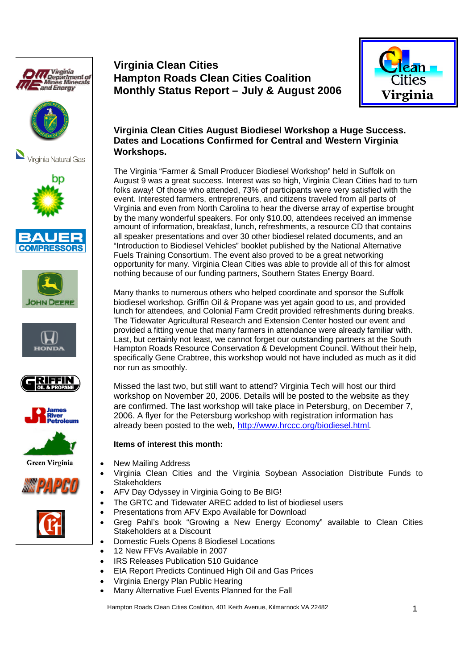























# **Virginia Clean Cities Hampton Roads Clean Cities Coalition Monthly Status Report – July & August 2006**



## **Virginia Clean Cities August Biodiesel Workshop a Huge Success. Dates and Locations Confirmed for Central and Western Virginia Workshops.**

The Virginia "Farmer & Small Producer Biodiesel Workshop" held in Suffolk on August 9 was a great success. Interest was so high, Virginia Clean Cities had to turn folks away! Of those who attended, 73% of participants were very satisfied with the event. Interested farmers, entrepreneurs, and citizens traveled from all parts of Virginia and even from North Carolina to hear the diverse array of expertise brought by the many wonderful speakers. For only \$10.00, attendees received an immense amount of information, breakfast, lunch, refreshments, a resource CD that contains all speaker presentations and over 30 other biodiesel related documents, and an "Introduction to Biodiesel Vehicles" booklet published by the National Alternative Fuels Training Consortium. The event also proved to be a great networking opportunity for many. Virginia Clean Cities was able to provide all of this for almost nothing because of our funding partners, Southern States Energy Board.

Many thanks to numerous others who helped coordinate and sponsor the Suffolk biodiesel workshop. Griffin Oil & Propane was yet again good to us, and provided lunch for attendees, and Colonial Farm Credit provided refreshments during breaks. The Tidewater Agricultural Research and Extension Center hosted our event and provided a fitting venue that many farmers in attendance were already familiar with. Last, but certainly not least, we cannot forget our outstanding partners at the South Hampton Roads Resource Conservation & Development Council. Without their help, specifically Gene Crabtree, this workshop would not have included as much as it did nor run as smoothly.

Missed the last two, but still want to attend? Virginia Tech will host our third workshop on November 20, 2006. Details will be posted to the website as they are confirmed. The last workshop will take place in Petersburg, on December 7, 2006. A flyer for the Petersburg workshop with registration information has already been posted to the web, http://www.hrccc.org/biodiesel.html.

## **Items of interest this month:**

- New Mailing Address
- Virginia Clean Cities and the Virginia Soybean Association Distribute Funds to **Stakeholders**
- AFV Day Odyssey in Virginia Going to Be BIG!
- The GRTC and Tidewater AREC added to list of biodiesel users
- Presentations from AFV Expo Available for Download
- Greg Pahl's book "Growing a New Energy Economy" available to Clean Cities Stakeholders at a Discount
	- Domestic Fuels Opens 8 Biodiesel Locations
	- 12 New FFVs Available in 2007
- IRS Releases Publication 510 Guidance
- EIA Report Predicts Continued High Oil and Gas Prices
- Virginia Energy Plan Public Hearing
- Many Alternative Fuel Events Planned for the Fall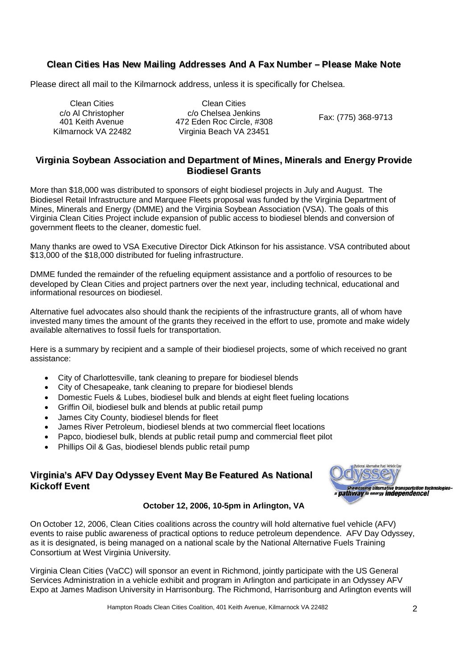## **Cllean Ciitiies Has New Maiiling Addresses And A Fax Number – Pllease Make Note**

Please direct all mail to the Kilmarnock address, unless it is specifically for Chelsea.

Clean Cities c/o Al Christopher 401 Keith Avenue Kilmarnock VA 22482

Clean Cities c/o Chelsea Jenkins 472 Eden Roc Circle, #308 Virginia Beach VA 23451

Fax: (775) 368-9713

## **Virginia Soybean Association and Department of Mines, Minerals and Energy Provide Biodiesel Grants**

More than \$18,000 was distributed to sponsors of eight biodiesel projects in July and August. The Biodiesel Retail Infrastructure and Marquee Fleets proposal was funded by the Virginia Department of Mines, Minerals and Energy (DMME) and the Virginia Soybean Association (VSA). The goals of this Virginia Clean Cities Project include expansion of public access to biodiesel blends and conversion of government fleets to the cleaner, domestic fuel.

Many thanks are owed to VSA Executive Director Dick Atkinson for his assistance. VSA contributed about \$13,000 of the \$18,000 distributed for fueling infrastructure.

DMME funded the remainder of the refueling equipment assistance and a portfolio of resources to be developed by Clean Cities and project partners over the next year, including technical, educational and informational resources on biodiesel.

Alternative fuel advocates also should thank the recipients of the infrastructure grants, all of whom have invested many times the amount of the grants they received in the effort to use, promote and make widely available alternatives to fossil fuels for transportation.

Here is a summary by recipient and a sample of their biodiesel projects, some of which received no grant assistance:

- City of Charlottesville, tank cleaning to prepare for biodiesel blends
- City of Chesapeake, tank cleaning to prepare for biodiesel blends
- Domestic Fuels & Lubes, biodiesel bulk and blends at eight fleet fueling locations
- Griffin Oil, biodiesel bulk and blends at public retail pump
- James City County, biodiesel blends for fleet
- James River Petroleum, biodiesel blends at two commercial fleet locations
- Papco, biodiesel bulk, blends at public retail pump and commercial fleet pilot
- Phillips Oil & Gas, biodiesel blends public retail pump

## **Virginiia's AFV Day Odyssey Event May Be Featured As National Kickoff Event**



#### **October 12, 2006, 10-5pm in Arlington, VA**

On October 12, 2006, Clean Cities coalitions across the country will hold alternative fuel vehicle (AFV) events to raise public awareness of practical options to reduce petroleum dependence. AFV Day Odyssey, as it is designated, is being managed on a national scale by the National Alternative Fuels Training Consortium at West Virginia University.

Virginia Clean Cities (VaCC) will sponsor an event in Richmond, jointly participate with the US General Services Administration in a vehicle exhibit and program in Arlington and participate in an Odyssey AFV Expo at James Madison University in Harrisonburg. The Richmond, Harrisonburg and Arlington events will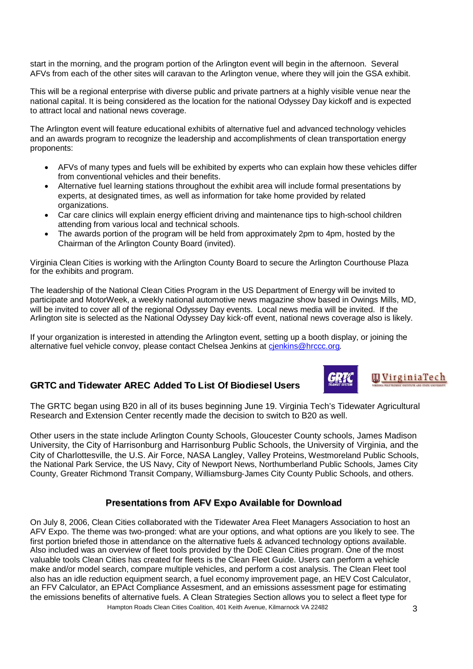start in the morning, and the program portion of the Arlington event will begin in the afternoon. Several AFVs from each of the other sites will caravan to the Arlington venue, where they will join the GSA exhibit.

This will be a regional enterprise with diverse public and private partners at a highly visible venue near the national capital. It is being considered as the location for the national Odyssey Day kickoff and is expected to attract local and national news coverage.

The Arlington event will feature educational exhibits of alternative fuel and advanced technology vehicles and an awards program to recognize the leadership and accomplishments of clean transportation energy proponents:

- AFVs of many types and fuels will be exhibited by experts who can explain how these vehicles differ from conventional vehicles and their benefits.
- Alternative fuel learning stations throughout the exhibit area will include formal presentations by experts, at designated times, as well as information for take home provided by related organizations.
- Car care clinics will explain energy efficient driving and maintenance tips to high-school children attending from various local and technical schools.
- The awards portion of the program will be held from approximately 2pm to 4pm, hosted by the Chairman of the Arlington County Board (invited).

Virginia Clean Cities is working with the Arlington County Board to secure the Arlington Courthouse Plaza for the exhibits and program.

The leadership of the National Clean Cities Program in the US Department of Energy will be invited to participate and MotorWeek, a weekly national automotive news magazine show based in Owings Mills, MD, will be invited to cover all of the regional Odyssey Day events. Local news media will be invited. If the Arlington site is selected as the National Odyssey Day kick-off event, national news coverage also is likely.

If your organization is interested in attending the Arlington event, setting up a booth display, or joining the alternative fuel vehicle convoy, please contact Chelsea Jenkins at cjenkins@hrccc.org.

## **GRTC and Tiidewater AREC Added To List Of Biiodiesel Users**



**m VirginiaTech** 

The GRTC began using B20 in all of its buses beginning June 19. Virginia Tech's Tidewater Agricultural Research and Extension Center recently made the decision to switch to B20 as well.

Other users in the state include Arlington County Schools, Gloucester County schools, James Madison University, the City of Harrisonburg and Harrisonburg Public Schools, the University of Virginia, and the City of Charlottesville, the U.S. Air Force, NASA Langley, Valley Proteins, Westmoreland Public Schools, the National Park Service, the US Navy, City of Newport News, Northumberland Public Schools, James City County, Greater Richmond Transit Company, Williamsburg-James City County Public Schools, and others.

#### **Presentations from AFV Expo Available for Download**

Hampton Roads Clean Cities Coalition, 401 Keith Avenue, Kilmarnock VA 22482 On July 8, 2006, Clean Cities collaborated with the Tidewater Area Fleet Managers Association to host an AFV Expo. The theme was two-pronged: what are your options, and what options are you likely to see. The first portion briefed those in attendance on the alternative fuels & advanced technology options available. Also included was an overview of fleet tools provided by the DoE Clean Cities program. One of the most valuable tools Clean Cities has created for fleets is the Clean Fleet Guide. Users can perform a vehicle make and/or model search, compare multiple vehicles, and perform a cost analysis. The Clean Fleet tool also has an idle reduction equipment search, a fuel economy improvement page, an HEV Cost Calculator, an FFV Calculator, an EPAct Compliance Assesment, and an emissions assessment page for estimating the emissions benefits of alternative fuels. A Clean Strategies Section allows you to select a fleet type for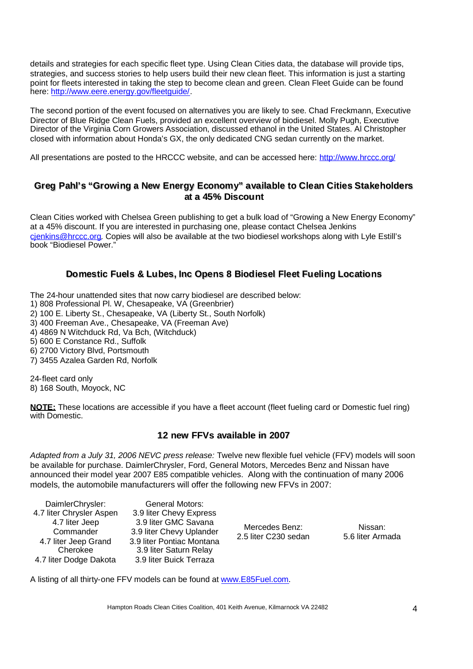details and strategies for each specific fleet type. Using Clean Cities data, the database will provide tips, strategies, and success stories to help users build their new clean fleet. This information is just a starting point for fleets interested in taking the step to become clean and green. Clean Fleet Guide can be found here: http://www.eere.energy.gov/fleetguide/.

The second portion of the event focused on alternatives you are likely to see. Chad Freckmann, Executive Director of Blue Ridge Clean Fuels, provided an excellent overview of biodiesel. Molly Pugh, Executive Director of the Virginia Corn Growers Association, discussed ethanol in the United States. Al Christopher closed with information about Honda's GX, the only dedicated CNG sedan currently on the market.

All presentations are posted to the HRCCC website, and can be accessed here: http://www.hrccc.org/

#### **Greg Pahll''s "Growiing a New Energy Economy" availlable to Clean Cities Stakeholders at a 45% Discount**

Clean Cities worked with Chelsea Green publishing to get a bulk load of "Growing a New Energy Economy" at a 45% discount. If you are interested in purchasing one, please contact Chelsea Jenkins cjenkins@hrccc.org. Copies will also be available at the two biodiesel workshops along with Lyle Estill's book "Biodiesel Power."

## **Domestic Fuells & Lubes, Inc Opens 8 Biodiesell Fleet Fueliing Locatiions**

The 24-hour unattended sites that now carry biodiesel are described below:

1) 808 Professional Pl. W, Chesapeake, VA (Greenbrier)

- 2) 100 E. Liberty St., Chesapeake, VA (Liberty St., South Norfolk)
- 3) 400 Freeman Ave., Chesapeake, VA (Freeman Ave)
- 4) 4869 N Witchduck Rd, Va Bch, (Witchduck)
- 5) 600 E Constance Rd., Suffolk
- 6) 2700 Victory Blvd, Portsmouth
- 7) 3455 Azalea Garden Rd, Norfolk

24-fleet card only 8) 168 South, Moyock, NC

**NOTE:** These locations are accessible if you have a fleet account (fleet fueling card or Domestic fuel ring) with Domestic.

#### **12 new FFVs available iin 2007**

*Adapted from a July 31, 2006 NEVC press release:* Twelve new flexible fuel vehicle (FFV) models will soon be available for purchase. DaimlerChrysler, Ford, General Motors, Mercedes Benz and Nissan have announced their model year 2007 E85 compatible vehicles. Along with the continuation of many 2006 models, the automobile manufacturers will offer the following new FFVs in 2007:

| DaimlerChrysler:<br>4.7 liter Chrysler Aspen<br>4.7 liter Jeep<br>Commander<br>4.7 liter Jeep Grand<br>Cherokee<br>4.7 liter Dodge Dakota | General Motors:<br>3.9 liter Chevy Express<br>3.9 liter GMC Savana<br>3.9 liter Chevy Uplander<br>3.9 liter Pontiac Montana<br>3.9 liter Saturn Relay<br>3.9 liter Buick Terraza | Mercedes Benz:<br>2.5 liter C230 sedan | Nissan:<br>5.6 liter Armada |
|-------------------------------------------------------------------------------------------------------------------------------------------|----------------------------------------------------------------------------------------------------------------------------------------------------------------------------------|----------------------------------------|-----------------------------|
|-------------------------------------------------------------------------------------------------------------------------------------------|----------------------------------------------------------------------------------------------------------------------------------------------------------------------------------|----------------------------------------|-----------------------------|

A listing of all thirty-one FFV models can be found at www.E85Fuel.com.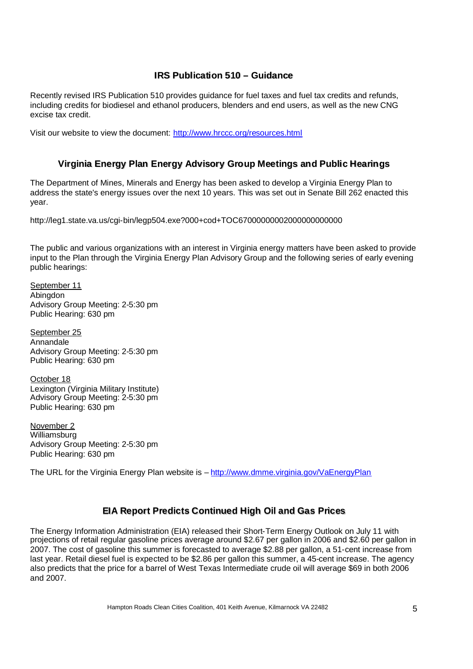#### **IRS** Publication 510 – Guidance

Recently revised IRS Publication 510 provides guidance for fuel taxes and fuel tax credits and refunds, including credits for biodiesel and ethanol producers, blenders and end users, as well as the new CNG excise tax credit.

Visit our website to view the document: http://www.hrccc.org/resources.html

## **Virginia Energy Plan Energy Advisory Group Meetings and Public Hearings**

The Department of Mines, Minerals and Energy has been asked to develop a Virginia Energy Plan to address the state's energy issues over the next 10 years. This was set out in Senate Bill 262 enacted this year.

http://leg1.state.va.us/cgi-bin/legp504.exe?000+cod+TOC67000000002000000000000

The public and various organizations with an interest in Virginia energy matters have been asked to provide input to the Plan through the Virginia Energy Plan Advisory Group and the following series of early evening public hearings:

September 11 Abingdon Advisory Group Meeting: 2-5:30 pm Public Hearing: 630 pm

September 25 Annandale Advisory Group Meeting: 2-5:30 pm Public Hearing: 630 pm

October 18 Lexington (Virginia Military Institute) Advisory Group Meeting: 2-5:30 pm Public Hearing: 630 pm

November 2 Williamsburg Advisory Group Meeting: 2-5:30 pm Public Hearing: 630 pm

The URL for the Virginia Energy Plan website is – http://www.dmme.virginia.gov/VaEnergyPlan

## **EIA** Report Predicts Continued High Oil and Gas Prices

The Energy Information Administration (EIA) released their Short-Term Energy Outlook on July 11 with projections of retail regular gasoline prices average around \$2.67 per gallon in 2006 and \$2.60 per gallon in 2007. The cost of gasoline this summer is forecasted to average \$2.88 per gallon, a 51-cent increase from last year. Retail diesel fuel is expected to be \$2.86 per gallon this summer, a 45-cent increase. The agency also predicts that the price for a barrel of West Texas Intermediate crude oil will average \$69 in both 2006 and 2007.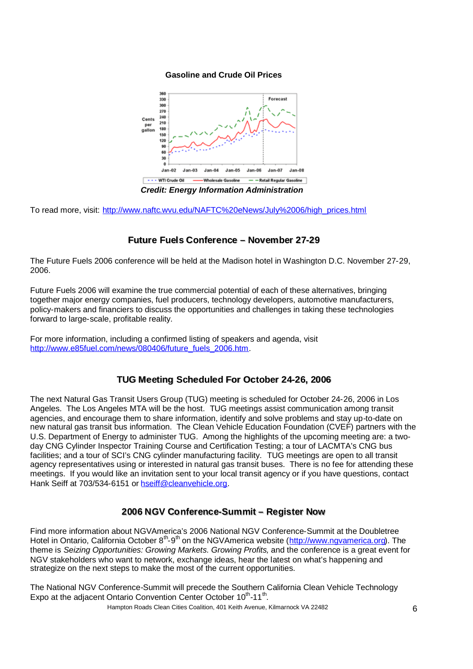#### **Gasoline and Crude Oil Prices**



*Credit: Energy Information Administration*

To read more, visit: http://www.naftc.wvu.edu/NAFTC%20eNews/July%2006/high\_prices.html

## **Future Fuells Conference – November 27-29**

The Future Fuels 2006 conference will be held at the Madison hotel in Washington D.C. November 27-29, 2006.

Future Fuels 2006 will examine the true commercial potential of each of these alternatives, bringing together major energy companies, fuel producers, technology developers, automotive manufacturers, policy-makers and financiers to discuss the opportunities and challenges in taking these technologies forward to large-scale, profitable reality.

For more information, including a confirmed listing of speakers and agenda, visit http://www.e85fuel.com/news/080406/future\_fuels\_2006.htm.

#### **TUG Meeting Schedulled For October 24-26,, 2006**

The next Natural Gas Transit Users Group (TUG) meeting is scheduled for October 24-26, 2006 in Los Angeles. The Los Angeles MTA will be the host. TUG meetings assist communication among transit agencies, and encourage them to share information, identify and solve problems and stay up-to-date on new natural gas transit bus information. The Clean Vehicle Education Foundation (CVEF) partners with the U.S. Department of Energy to administer TUG. Among the highlights of the upcoming meeting are: a twoday CNG Cylinder Inspector Training Course and Certification Testing; a tour of LACMTA's CNG bus facilities; and a tour of SCI's CNG cylinder manufacturing facility. TUG meetings are open to all transit agency representatives using or interested in natural gas transit buses. There is no fee for attending these meetings. If you would like an invitation sent to your local transit agency or if you have questions, contact Hank Seiff at 703/534-6151 or hseiff@cleanvehicle.org.

#### **2006 NGV Conference-Summit – Register Now**

Find more information about NGVAmerica's 2006 National NGV Conference-Summit at the Doubletree Hotel in Ontario, California October 8<sup>th</sup>-9<sup>th</sup> on the NGVAmerica website (http://www.ngvamerica.org). The theme is *Seizing Opportunities: Growing Markets. Growing Profits,* and the conference is a great event for NGV stakeholders who want to network, exchange ideas, hear the latest on what's happening and strategize on the next steps to make the most of the current opportunities.

The National NGV Conference-Summit will precede the Southern California Clean Vehicle Technology Expo at the adjacent Ontario Convention Center October 10<sup>th</sup>-11<sup>th</sup>.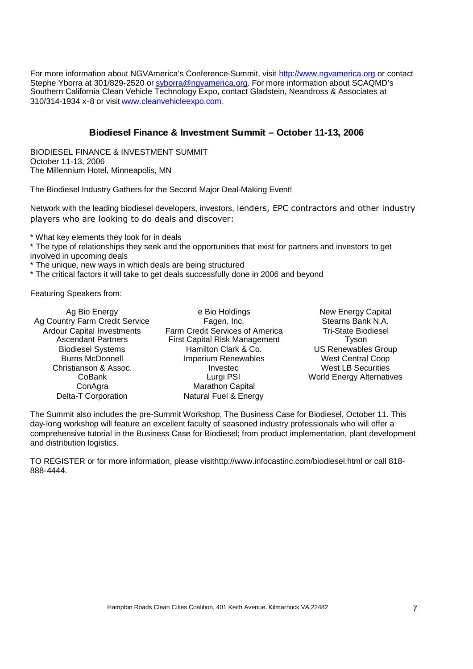For more information about NGVAmerica's Conference-Summit, visit http://www.ngvamerica.org or contact Stephe Yborra at 301/829-2520 or syborra@ngyamerica.org. For more information about SCAQMD's Southern California Clean Vehicle Technology Expo, contact Gladstein, Neandross & Associates at 310/314-1934 x-8 or visit www.cleanvehicleexpo.com.

#### **Biodiesel Finance & Investment Summit - October 11-13, 2006**

BIODIESEL FINANCE & INVESTMENT SUMMIT October 11-13, 2006 The Millennium Hotel, Minneapolis, MN

The Biodiesel Industry Gathers for the Second Major Deal-Making Event!

Network with the leading biodiesel developers, investors, lenders, EPC contractors and other industry players who are looking to do deals and discover:

\* What key elements they look for in deals

\* The type of relationships they seek and the opportunities that exist for partners and investors to get involved in upcoming deals

\* The unique, new ways in which deals are being structured

\* The critical factors it will take to get deals successfully done in 2006 and beyond

Featuring Speakers from:

| Ag Bio Energy                     | e Bio Holdings                       | <b>New Energy Capital</b>        |
|-----------------------------------|--------------------------------------|----------------------------------|
| Ag Country Farm Credit Service    | Fagen, Inc.                          | Stearns Bank N.A.                |
| <b>Ardour Capital Investments</b> | Farm Credit Services of America      | <b>Tri-State Biodiesel</b>       |
| <b>Ascendant Partners</b>         | <b>First Capital Risk Management</b> | Tyson                            |
| <b>Biodiesel Systems</b>          | Hamilton Clark & Co.                 | <b>US Renewables Group</b>       |
| <b>Burns McDonnell</b>            | <b>Imperium Renewables</b>           | <b>West Central Coop</b>         |
| Christianson & Assoc.             | Investec                             | <b>West LB Securities</b>        |
| CoBank                            | Lurgi PSI                            | <b>World Energy Alternatives</b> |
| ConAgra                           | Marathon Capital                     |                                  |
| Delta-T Corporation               | Natural Fuel & Energy                |                                  |

The Summit also includes the pre-Summit Workshop, The Business Case for Biodiesel, October 11. This day-long workshop will feature an excellent faculty of seasoned industry professionals who will offer a comprehensive tutorial in the Business Case for Biodiesel; from product implementation, plant development and distribution logistics.

TO REGISTER or for more information, please visithttp://www.infocastinc.com/biodiesel.html or call 818- 888-4444.